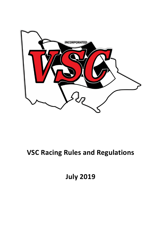

# **VSC Racing Rules and Regulations**

**July 2019**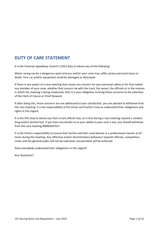# **DUTY OF CARE STATEMENT**

It is the Victorian Speedway Council's (VSC) duty to advise you of the following:

Motor racing can be a dangerous sport and you and/or your crew may suffer serious personal injury or death. Your car and/or equipment could be damaged or destroyed.

If there is any aspect of a race meeting that causes you concern for your personal safety or for that matter any member of your crew, whether that concern be with the track, the venue, the officials or in the manner in which the meeting is being conducted, then it is your obligation to bring those concerns to the attention of the Clerk of Course or Chief Steward.

If after doing this, those concerns are not addressed to your satisfaction, you are advised to withdraw from the race meeting. It is the responsibility of the Driver and his/her Crew to understand their obligations and rights in this regard.

It is the VSC duty to advise you that a track official may, at a time during a race meeting request a random drug and/or alcohol test. If you have any doubts as to your ability to pass such a test, you should withdraw from the race meeting IMMEDIATELY.

It is the Drivers responsibility to ensure that he/she and their crew behave in a professional manner at all times during the meeting. Any offensive and/or discriminatory behaviour towards officials, competitors, crews and the general public will not be tolerated, and penalties will be enforced.

Does everybody understand their obligations in this regard?

Any Questions?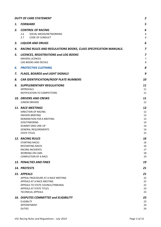|    | <b>DUTY OF CARE STATEMENT</b>                                                                                                                                                                       | $\overline{a}$                               |  |  |  |  |  |  |
|----|-----------------------------------------------------------------------------------------------------------------------------------------------------------------------------------------------------|----------------------------------------------|--|--|--|--|--|--|
| 1. | <b>FORWARD</b>                                                                                                                                                                                      | 5                                            |  |  |  |  |  |  |
| 2. | <b>CONTROL OF RACING</b><br>SOCIAL MEDIA/NETWORKING<br>2.6<br>2.7<br>CODE OF CONDUCT                                                                                                                | 6<br>6<br>6                                  |  |  |  |  |  |  |
| 3. | <b>LIQUOR AND DRUGS</b>                                                                                                                                                                             | 6                                            |  |  |  |  |  |  |
| 4. | RACING RULES AND REGULATIONS BOOKS, CLASS SPECIFICATION MANUALS.                                                                                                                                    | 7                                            |  |  |  |  |  |  |
| 5. | <b>LICENCES, REGISTRATIONS and LOG BOOKS</b><br><b>DRIVERS LICENCES</b><br>LOG BOOKS AND DECALS                                                                                                     |                                              |  |  |  |  |  |  |
| 6. | <b>PROTECTIVE CLOTHING</b>                                                                                                                                                                          | 8                                            |  |  |  |  |  |  |
| 7. | <b>FLAGS, BOARDS and LIGHT SIGNALS</b>                                                                                                                                                              | 9                                            |  |  |  |  |  |  |
| 8. | CAR IDENTIFICATION/ROOF PLATE NUMBERS                                                                                                                                                               | 10                                           |  |  |  |  |  |  |
| 9. | <b>SUPPLEMENTARY REGULATIONS</b><br>APPROVALS<br>NOTIFICATION TO COMPETITORS                                                                                                                        | 11<br>11<br>11                               |  |  |  |  |  |  |
|    | <b>10. DRIVERS AND CREWS</b><br><b>JUNIOR DRIVERS</b>                                                                                                                                               | 11<br>12                                     |  |  |  |  |  |  |
|    | 11. RACE MEETINGS<br>DIRECTION OF RACING<br><b>DRIVERS BRIEFING</b><br>NOMINATION FOR A MEETING<br>SCRUTINEERING<br><b>DUMMY GRID LINE-UP</b><br><b>GENERAL REQUIREMENTS</b><br><b>STATE TITLES</b> | 12<br>12<br>13<br>13<br>14<br>14<br>14<br>15 |  |  |  |  |  |  |
|    | <b>12. RACING RULES</b><br><b>STARTING RACES</b><br><b>RESTARTING RACES</b><br><b>RACING INCIDENTS</b><br><b>WORKING ON CARS</b><br><b>COMPLETION OF A RACE</b>                                     | 16<br>16<br>16<br>17<br>18<br>19             |  |  |  |  |  |  |
|    | 13. PENALTIES AND FINES                                                                                                                                                                             | 19                                           |  |  |  |  |  |  |
|    | 14. PROTESTS                                                                                                                                                                                        | 21                                           |  |  |  |  |  |  |
|    | 15. APPEALS<br>APPEAL PROCEDURE AT A RACE MEETING<br>APPEALS AT A RACE MEETING<br>APPEALS TO STATE COUNCIL/TRIBUNAL<br>APPEALS AT STATE TITLES<br><b>TECHNICAL APPEALS</b>                          | 21<br>22<br>22<br>22<br>23<br>23             |  |  |  |  |  |  |
|    | <b>16. DISPUTES COMMITTEE and ELIGIBILITY</b><br><b>ELIGIBILTY</b><br><b>APPOINTMENT</b><br><b>DUTIES</b>                                                                                           | 23<br>23<br>24<br>24                         |  |  |  |  |  |  |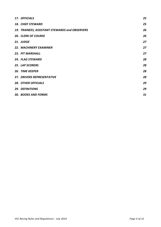| 17. OFFICIALS                                  | 25 |
|------------------------------------------------|----|
| <b>18. CHIEF STEWARD</b>                       | 25 |
| 19. TRAINEES, ASSISTANT STEWARDS and OBSERVERS | 26 |
| <b>20. CLERK OF COURSE</b>                     | 26 |
| 21. JUDGE                                      | 27 |
| <b>22. MACHINERY EXAMINER</b>                  | 27 |
| 23. PIT MARSHALL                               | 27 |
| <b>24. FLAG STEWARD</b>                        | 28 |
| <b>25. LAP SCORERS</b>                         | 28 |
| <b>26. TIME KEEPER</b>                         | 28 |
| <b>27. DRIVERS REPRESENTATIVE</b>              | 28 |
| <b>28. OTHER OFFICIALS</b>                     | 29 |
| <b>29. DEFINITIONS</b>                         | 29 |
| <b>30. BOOKS AND FORMS</b>                     | 31 |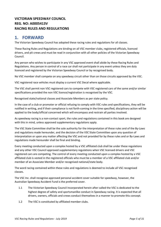### **VICTORIAN SPEEDWAY COUNCIL REG. NO: A0005413V RACING RULES AND REGULATIONS**

# **1. FORWARD**

The Victorian Speedway Council has adopted these racing rules and regulations for all classes.

These Racing Rules and Regulations are binding on all VSC member clubs, registered officials, licenced drivers, and pit crews and must be read in conjunction with all other policies of the Victorian Speedway Council.

Any person who wishes to participate in any VSC approved event shall abide by these Racing Rules and Regulations. Any person in control of a race car shall not participate in any event unless they are duly licenced and registered by the Victorian Speedway Council or by recognised body.

No VSC member shall compete on any speedway circuit other than on those circuits approved by the VSC.

VSC registered race vehicles must display a current VSC Decal where applicable.

The VSC shall permit non VSC registered cars to compete with VSC registered cars of the same and/or similar specifications provided the non VSC licence/registration is recognised by the VSC.

Recognised state/national classes and Associate Members as per state policy.

In the case of a club or promoter or official refusing to comply with VSC rules and specifications, they will be notified in writing, and if their compliance is not forth-coming in the time specified, disciplinary action will be applied to the body/official concerned which will encompass and restrain all parties involved.

As speedway racing is a non-contact sport, the rules and regulations contained in this book are designed with this in mind, unless approved supplementary regulations apply.

The VSC State Committee shall be the sole authority for the interpretation of these rules and of the By-Laws and regulations made hereunder, and the decision of the VSC State Committee upon any question of interpretation or upon any matter affecting the VSC and not provided for by these rules and or By-Laws and regulations made hereunder shall be final and binding.

Every meeting conducted upon a complex hosted by a VSC affiliated club shall be under these regulations and any other VSC Council approved supplementary regulations when VSC licensed drivers and VSC registered cars are competing. The control of every meeting conducted upon a complex hosted by a VSC affiliated club is vested in the registered officials who must be a member of a VSC affiliated club and/or member of an Associate Member and/or recognised national/state body.

The word racing contained within these rules and regulations is deemed to include all VSC recognised classes.

The VSC Inc. shall recognise approved personal accident cover suitable for speedway, however, the Australian Speedway Accident Fund is the preferred cover.

- 1.1 The Victorian Speedway Council Incorporated herein after called the VSC is dedicated to the highest degree of safety and sportsmanlike conduct in Speedway racing. It is expected that all drivers, owners, officials and crews conduct themselves in a manner to promote this concept.
- 1.2 The VSC is constituted by affiliated member clubs.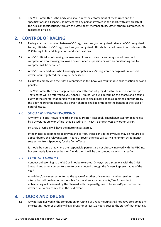1.3 The VSC Committee is the body who shall direct the enforcement of these rules and the specifications in all aspects. It may charge any person involved in the sport, with any breach of the rules or specifications, through the State body, member clubs, State technical committee, or registered officials.

# **2. CONTROL OF RACING**

- 2.1 Racing shall be conducted between VSC registered and/or recognised drivers on VSC recognised tracks, officiated by VSC registered and/or recognised officials, but at all times in accordance with VSC Racing Rules and Regulations and specifications.
- 2.2 Any VSC official who knowingly allows an un licenced driver or an unregistered race car to compete, or who knowingly allows a driver under suspension or with an outstanding fine to compete, will be penalised.
- 2.3 Any VSC licenced driver who knowingly competes in a VSC registered car against unlicensed drivers or unregistered cars may be penalised.
- 2.4 Failure to comply with the rules as contained in this book will result in disciplinary action and/or a penalty.
- 2.5 The VSC Committee may charge any person with conduct prejudicial to the interest of the sport. That charge will be referred to VSC Appeals Tribunal who will determine the charge and if found guilty of the charge, that person will be subject to disciplinary action as deemed appropriate by the body hearing the charge. The person charged shall be entitled to the benefit of the rules of natural justice.

### *2.6 SOCIAL MEDIA/NETWORKING*

Any form of Social networking (this includes Twitter, Facebook, Snapchat/Instagram texting etc.) by a Driver, Pit Crew or Official that is used to INTIMIDATE or HARRASS any other Driver,

Pit Crew or Official will have the matter investigated.

If the matter is deemed to be proven and correct, those considered involved may be required to appear before the relevant State Tribunal. Proven offences will carry a minimum three-month suspension from Speedway for the first offence.

It should be noted that where the responsible persons are not directly involved with the VSC Inc. but are clearly family members or friends then it will be the competitor who shall suffer.

### *2.7 CODE OF CONDUCT*

Conduct unbecoming to the VSC will not be tolerated. Driver/crew discussions with the Chief Steward and other competitors are to be conducted through the Drivers Representative of the night.

Any driver/crew member entering the space of another driver/crew member resulting in an altercation will be deemed responsible for the altercation. A penalty/fine for conduct unbecoming will be issued by the Steward with the penalty/fine to be served/paid before the driver or crew can compete at the next event.

# **3. LIQUOR AND DRUGS**

3.1 Any person involved in the competition or running of a race meeting shall not have consumed any intoxicating liquor or used any illegal drugs for at least 12 hours prior to the start of that meeting.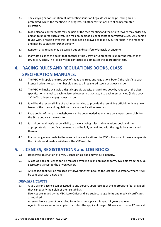- 3.2 The carrying or consumption of intoxicating liquor or illegal drugs in the pit/racing area is prohibited, whilst the meeting is in progress. All other restrictions are at club/promoter discretion.
- 3.3 Blood alcohol content tests may be part of the race meeting and the Chief Steward may order any person to undergo such a test. The maximum blood alcohol content permitted 0.02%. Any person found with, a reading over this limit shall not be allowed to take any further part in the meeting and may be subject to further penalty.
- 3.4 Random drug testing may be carried out on drivers/crew/officials at anytime.
- 3.5 If any official is of the belief that another official, crew or Competitor is under the influence of Drugs or Alcohol, The Police will be contacted to administer the appropriate tests.

# **4. RACING RULES AND REGULATIONS BOOKS, CLASS SPECIFICATION MANUALS.**

- 4.1 The VSC will supply one free copy of the racing rules and regulations book ("the rules") to each licenced driver, to each member club and to all registered stewards at each issue.
- 4.2 The VSC will make available a digital copy via website or a printed copy by request of the class specification manual to each registered owner in that class, 2 to each member club (1 club copy: 1 Chief Scrutineer's copy), at each issue.
- 4.3 It will be the responsibility of each member club to provide the remaining officials with any new issues of the rules and regulations or class specification manuals.
- 4.4 Extra copies of these manuals/books can be downloaded at any time by any person or club from the State body via the website.
- 4.5 It shall be the driver's responsibility to have a racing rules and regulations book and the appropriate class specification manual and be fully acquainted with the regulations contained therein.
- 4.6 If any changes are made to the rules or the specifications, the VSC will advise of those changes via the minutes and made available on the VSC website.

# **5. LICENCES, REGISTRATIONS and LOG BOOKS**

- 5.1 Deliberate destruction of a VSC Licence or log book may incur a penalty.
- 5.2 A lost log book or licence can be replaced by filling in an application form, available from the Club Secretary at a cost to the driver/owner.
- 5.3 A filled log book will be replaced by forwarding that book to the Licencing Secretary, where it will be sent back with a new one.

### *DRIVERS LICENCES*

5.4 A VSC driver's licence can be issued to any person, upon receipt of the appropriate fee, provided they can satisfy their club of their suitability.

Licences are issued by the VSC State Office and are subject to age limits and medical certificates as required.

A senior licence cannot be applied for unless the applicant is aged 17 years and over.

A junior licence cannot be applied for unless the applicant is aged 10 years and under 17 years at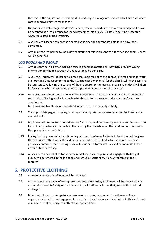the time of the application. Drivers aged 10 and 11 years of age are restricted to 4 and 6 cylinder cars in approved classes for that age.

- 5.5 Only a current VSC recognised driver's licence, free of unpaid fines and outstanding penalties will be accepted as a legal licence for speedway competition in VSC Classes. It must be presented when requested by track officials.
- 5.6 A VSC driver's licence can only be deemed valid once all appropriate details in it have been completed.
- 5.7 Any unauthorised person found guilty of altering or mis-representing a race car, log book, licence will be penalised

### *LOG BOOKS AND DECALS*

- 5.8 Any person who is guilty of making a false log book declaration or knowingly provides wrong information for the registration of a race car may be penalised.
- 5.9 A VSC registration will be issued to a race car, upon receipt of the appropriate fee and paperwork, and provided that car conforms to the VSC specification manual for the class in which the car is to be registered. Following the passing of the pre-season scrutineering, a registration decal will then be forwarded which must be attached to a prominent position on the race car.
- 5.10 Log books are compulsory, and one will be issued for each race car when the car is accepted for registration. This log book will remain with that car for the season and is not transferable to another car.

Log books and Decals are not transferable from car to car or body to body.

- 5.11 The appropriate pages in the log book must be completed as necessary before the book can be deemed valid.
- 5.12 Log books will be checked at scrutineering for validity and outstanding work orders. Entries in the form of work orders will be made in the book by the officials when the car does not conform to the appropriate specifications.
- 5.13 If a log book is presented at scrutineering with work orders not effected, the driver will be given the option to fix the fault/s. If the driver deems not to fix the faults, the car concerned is not given a clearance to race. The log book will be retained by the officials and be forwarded to the drivers' State Secretary.
- 5.14 A race car can be reshelled to the same model car, it will require a full daylight with daylight number to be entered in the log book and signed by Scrutineer. No new registration fee is required.

# **6. PROTECTIVE CLOTHING**

- 6.1 Abuse of any safety equipment will be penalised.
- 6.2 Any person who is guilty of misrepresenting any safety attire/equipment will be penalised. Any driver who presents Safety Attire that is out specifications will have that gear confiscated and destroyed.
- 6.3 Drivers who intend to compete at a race meeting, in any or unofficial practice must have approved safety attire and equipment as per the relevant class specification book. This attire and equipment must be worn correctly at appropriate times.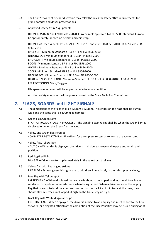- 6.4 The Chief Steward at his/her discretion may relax the rules for safety attire requirements for grand parades and driver presentations.
- 6.5 Approved Safety Attire/Equipment:

HELMET: AS1698, Snell 2010, 2015,2020. Euro helmets approved to ECE 22.05 standard. Euro to be appropriately labelled on helmet and chinstrap.

HELMET V8 Open Wheel Classes: SNELL 2010,2015 and 2020 FIA 8858–2010 FIA 8859-2015 FIA 8860-2010

RACE SUIT: Minimum Standard SFI 3.2 A/1 or FIA 8856-2000 UNDERWEAR: Minimum Standard SFI 3.3 or FIA 8856-2000 BALACLAVA: Minimum Standard SFI 3.3 or FIA 8856-2000 BOOTS: Minimum Standard SFI 3.3 or FIA 8856-2000 GLOVES: Minimum Standard SFI 3.3 or FIA 8856-2000 SOCKS: Minimum Standard SFI 3.3 or FIA 8856-2000 NECK BRACE: Minimum Standard SFI 3.3 or FIA 8856-2000 HEAD and NECK RESTRAINT: Minimum Standard SFI 38.1 or FIA 8858-2010 FIA 8858 -2018 EYE PROTECTION: Visor/Goggles

Life span on equipment will be as per manufacturer or condition.

All other safety equipment will require approval by the State Technical Committee.

# **7. FLAGS, BOARDS and LIGHT SIGNALS**

- 7.1 The dimensions of the flags shall be 620mm x 620mm. The stripes on the flags shall be 80mm wide and the spots shall be 300mm in diameter.
- 7.2 Green Flag/Green Light START OF RACE OR RACE IN PROGRESS – The signal to start racing shall be when the Green light is displayed or when the Green flag is waved.
- 7.3 Yellow and Green flags crossed COMPLETE RE-START/FORM UP – Given for a complete restart or to form up ready to start.
- 7.4 Yellow flag/Yellow light CAUTION – When this is displayed the drivers shall slow to a reasonable pace and retain their position.
- 7.5 Red flag/Red light DANGER – Drivers are to stop immediately in the safest practical way.
- 7.6 Yellow flag with Red angled stripes FIRE FLAG – Drivers given this signal are to withdraw immediately in the safest practical way,
- 7.7 Blue flag with Yellow spot LAPPING FLAG – When displayed that vehicle is about to be lapped, and must maintain line and render no competition or interference when being lapped. When a driver receives the lapping flag that driver is to hold their current position on the track i.e. if mid track at the time, they should stay mid track until lapped, if high on the track, stay up high.
- 7.8 Black flag with White diagonal stripe ENQUIRY FLAG – When displayed, the driver is subject to an enquiry and must report to the Chief Steward (or delegated official) at the completion of the race Penalties may be issued during or at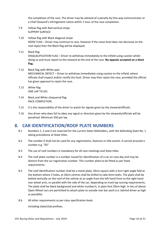the completion of the race. The driver may be advised of a penalty by One way communicator or a Chief Steward's Infringement notice within 1 hour of the race completion.

- 7.9 Yellow flag with Red vertical stripe SLIPPERY SURFACE
- 7.10 Yellow flag with Black diagonal stripe NOISE FLAG – Driver may continue to race, however if the noise level does not decrease on the next lap(s) then the Black flag will be displayed.
- 7.11 Black flag DISQUALIFICATION FLAG – Driver to withdraw immediately to the infield using caution whilst doing so and must report to the steward at the end of the race. **No appeals accepted on a black flag.**
- 7.12 Black flag with White spot MECHANICAL DEFECT – Driver to withdraw immediately using caution to the Infield, where officials shall inspect and/or rectify the fault. Driver may then rejoin the race, provided the official has given approval to rejoin the race.
- 7.13 White flag ONE LAP TO GO.
- 7.14 Black and White chequered flag RACE COMPLETION.
- 7.15 It is the responsibility of the driver to watch for signals given by the steward/officials.
- 7.16 Any driver who does fail to obey any signal or direction given by the stewards/officials will be penalised. Minimum \$50 per lap.

# **8. CAR IDENTIFICATION/ROOF PLATE NUMBERS**

- 8.1 Numbers 1, 2 and 3 are reserved for the current State titleholders, with the defending State No. 1 taking precedence at State titles.
- 8.2 The number 0 shall not be used for any registrations, features or title events. 0 cannot proceed a number e.g. "05"
- 8.3 The use of roof numbers is mandatory for all race meetings and State titles.
- 8.4 The roof plate number is a number issued for identification of a car on race day and may be distinct from the car registration number. This number plate to be fitted as per State requirements.
- 8.5 The roof identification number shall be a metal plate, 30cm square with a 5cm right angle fold at the bottom where 2 holes, at 20cm centres shall be drilled to take 6mm bolts. The plate shall be bolted vertically on the roof of the vehicle at an angle from the left hand front to the right hand rear wheel arch, or parallel with the side of the car, depending on track lap scoring requirements. The plate shall be black background and white number/s, in plain font 20cm high. In lieu of above Open Wheel cars are permitted to attach plate to outside rear bar work (i.e. behind driver as high as possible).
- 8.6 All other requirements as per class specification book.

Including state/club prefixes.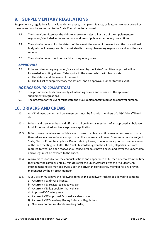# **9. SUPPLEMENTARY REGULATIONS**

Supplementary regulations for any long distance race, championship race, or feature race not covered by these rules must be submitted to the State Committee for approval.

- 9.1 The State Committee has the right to approve or reject all or part of the supplementary regulation/s included in the submission and may stipulate added safety precautions.
- 9.2 The submission must list the date(s) of the event, the name of the event and the promotional body who will be responsible. It must also list the supplementary regulations and why they are required.
- 9.3 The submission must not contradict existing safety rules.

### *APPROVALS*

- 9.4 If the supplementary regulation/s are endorsed by the State Committee, approval will be forwarded in writing at least 7 days prior to the event, which will clearly state:
	- a) The date(s) and the name of the event.
	- b) The full list of supplementary regulations, and an approval number for the event.

### *NOTIFICATION TO COMPETITORS*

- 9.5 The promotional body must notify all intending drivers and officials of the approved supplemental regulations.
- 9.6 The program for the event must state the VSC supplementary regulation approval number.

# **10. DRIVERS AND CREWS**

- 10.1 All VSC drivers, owners and crew members must be financial members of a VSC fully affiliated club.
- 10.2 Drivers and crew members and officials shall be financial members of an approved ambulance fund. Proof required for licence/pit crew application.
- 10.3 Drivers, crew members and officials are to dress in a clean and tidy manner and are to conduct themselves in a professional and sportsmanlike manner at all times. Dress code may be subject to State, Club or Promoters by-laws. Dress code in pit area, from one hour prior to commencement of the race meeting until after the Chief Steward has given the all clear, all participants are required to wear no open footwear, all tops/shirts must have sleeves and cover the upper torso and all legs must be covered to the knees.
- 10.4 A driver is responsible for the conduct, actions and appearance of his/her pit crew from the time they enter the complex until 60 minutes after the Chief Steward gives the "All Clear". An infringement notice may be served upon the driver and/or pit crew member for any proven misconduct by the pit crew member.
- 10.5 A VSC driver must have the following items at **the** speedway track to be allowed to compete:
	- a) A current VSC driver's licence.
	- b) A current VSC registered speedway car.
	- c) A current VSC log book for that vehicle.
	- d) Approved VSC safety wear.
	- e) A current VSC approved Personal accident cover.
	- f) A current VSC Speedway Racing Rules and Regulations.
	- g) One Way Communicator (In working order)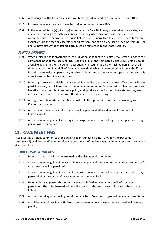- 10.6 A passenger on the track must also have items (a), (d), (e) and (f) as contained in Rule 10.5
- 10.7 Pit crew members must also have item (e) as contained in Rule 10.5
- 10.8 In the event of Items (a) (c) and (e) as contained in Rule 10.5 being unavailable on race day, and due to extenuating circumstances only a temporary issue form for those items must be completed and the appropriate fee paid before driver is permitted to compete. These forms are available from the race day secretary or pit marshall and can only be used providing items (a), (c) and (e) have already been issued. Form must be forwarded to the State Secretary.

### *JUNIOR DRIVERS*

- 10.9 When Junior racing is programmed, the Junior must nominate a "Chief Crew Person" prior to the commencement of the race meeting. Responsibility of the nominated Chief Crew Person is to be available at all times for the Junior, exception: whilst Junior is on the track. Juniors must at all times have the nominated Chief Crew Person with him/her when required to liaise with officials, first aid personnel, club personnel, at drivers briefing and at any dispute/appeal hearing etc. Chief Crew Person to be 18 years and over.
- 10.10 Drivers, pit crew and officials that are receiving medical treatment that may affect their ability to participate and/or officiate or whilst under Workcover, other Compensation schemes or receiving benefits from an accident insurance policy shall produce a medical certificate stating they are medically fit to participate and/or officiate at a speedway meeting.
- 10.11 All registered Stewards and Scrutineers will hold the appropriate and current Working With Children certification.
- 10.12 Any person who abuses another person will be penalised. All incidents will be reported to the Chief Steward.
- 10.13 Any person found guilty of speaking in a derogatory manner or making obscene gestures to any person will be penalised.

# **11. RACE MEETINGS**

Race Meeting officially commences at the advertised scrutineering time, (Or when the first car is scrutineered), and finishes 60 minutes after the completion of the last event or 60 minutes after the steward gives the all clear.

### *DIRECTION OF RACING*

- 11.1 Direction of racing will be determined by the class specification book.
- 11.2 Any person found guilty of an act of violence i.e. physical, verbal or written during the course of a race meeting will be penalised.
- 11.3 Any person found guilty of speaking in a derogatory manner or making obscene gestures to any person during the course of a race meeting will be penalised.
- 11.4 No unauthorised person shall enter the track or infield area without the Chief Stewards permission. The Chief Steward will penalise any unauthorised person who enters the track or infield.
- 11.5 Any person riding on a moving car will be penalised. Exception: organised parade or presentation.
- 11.6 Any driver who drives in the Pit Area in an unsafe manner or uses excessive speed will receive a penalty.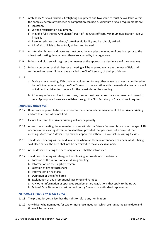- 11.7 Ambulance/first aid facilities, firefighting equipment and tow vehicles must be available within the complex before any practice or competition can begin. Minimum first aid requirements are:
	- a) Stretcher.
	- b) Oxygen resuscitation equipment.
	- c) Min of 2 fully trained Ambulance/First Aid/Red Cross officers. Minimum qualification level 2 first aid.
	- d) Recognised state ambulance/state first aid facility and be suitably attired.
	- e) All infield officials to be suitably attired and trained.
- 11.8 All intending Drivers and race cars must be at the complex a minimum of one hour prior to the advertised starting time, unless otherwise advised by the organisers.
- 11.9 Drivers and pit crew will register their names at the appropriate sign-in area of the speedway.
- 11.10 Drivers competing at their first race meeting will be required to start at the rear of field and continue doing so until they have satisfied the Chief Steward, of their proficiency.
- 11.11
- a) During a race meeting, if through an accident or for any other reason a driver is considered to be unfit to continue racing the Chief Steward in consultation with the medical attendants shall not allow that driver to compete for the remainder of the meeting.
- b) After any serious accident or roll over, the car must be checked by a scrutineer and passed to race. Appropriate forms are available through the Club Secretary or State office if required.

### *DRIVERS BRIEFING*

- 11.12 Drivers are required to be on site prior to the scheduled commencement of the drivers briefing and are to attend when notified.
- 11.13 Failure to attend the drivers briefing will incur a penalty.
- 11.14 At each race meeting the nominated drivers will elect a Drivers Representative over the age of 18, or confirm the existing drivers representative, provided that person is not a driver at that meeting. More than 1 drivers' rep may be appointed, if there is a conflict, or visiting Classes.
- 11.15 The drivers' briefing will be held in an area where all those in attendance can hear what is being said. Race cars in the area shall not be permitted to make excessive noise.
- 11.16 At the drivers' briefing the necessary officials shall be introduced.
- 11.17 The drivers' briefing will also give the following information to the drivers:
	- a) Location of the various officials during meeting.
	- b) Information on the flag/light system
	- c) Location of fire extinguishers
	- d) Information on re-starts
	- e) Definition of the infield area
	- f) Explanation of any promotional laps or Grand Parades
	- g) Any other information or approved supplementary regulations that apply to the track.
	- h) Duty of Care Statement must be read out by Steward or authorised represented.

### *NOMINATION FOR A MEETING*

- 11.18 The promotion/organiser has the right to refuse any nomination.
- 11.19 Any driver who nominates for two or more race meetings, which are run at the same date and time will be penalised.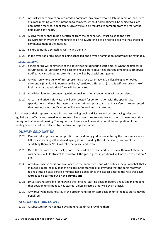- 11.20 At tracks where drivers are required to nominate, any driver who is a late nomination, or arrives at a race meeting with the intention to compete, without nominating will be subject to a late nomination fee where applicable. Driver will also be required to compete from the rear of the field during any heats.
- 11.21 A driver who wishes to be a scratching from the nominations, must do so to the host club/promoter where the meeting is to be held. Scratching to be notified prior to the scheduled commencement of the meeting.
- 11.22 Failure to notify a scratching will incur a penalty.
- 11.23 In the event of a race meeting being cancelled, the driver's nomination money may be refunded.

### *SCRUTINEERING*

- 11.24 Scrutineering will commence at the advertised scrutineering start time, or when the first car is scrutineered. Scrutineering will close one hour before advertised starting time unless otherwise notified. Any scrutineering after this time will be by special arrangement.
- 11.25 Any person who is guilty of misrepresenting a race car or having an illegal engine or locked differential (Standard Saloon) or an illegal/restricted differential (Class Specific) or using "nitro" fuel, avgas or unauthorised fuels will be penalised.
- 11.26 Any driver late for scrutineering without making prior arrangements will be penalised.
- 11.27 All cars and driver safety attire will be inspected for conformation with the appropriate specifications and must be passed by the scrutineers prior to racing. Any safety attire presented that does not met specifications will be confiscated and not returned.

Each driver or their representative will produce the log book and licence and current racing rules and regulations to officials concerned, upon request. The driver or representative and the scrutineer must sign the log book after scrutineering. The log book and licence will be retained until the completion of the meeting when it must be collected by the driver or representative.

### *DUMMY GRID LINE-UP*

- 11.28 Cars will take up their correct position on the dummy grid before entering the track. Any spaces left by a scratching will be closed up e.g. Criss crossed by the pit marshal. (If car No. 3 is a scratching then car No. 4 will take that place, and so on.)
- 11.29 Once the cars are on the track, prior to the start of the race, and there is a withdrawal, then the cars behind will file straight forward to fill the gap, e.g. car in position 4 will move up to position 2 etc.
- 11.30 Any driver whose car is not positioned on the dummy grid and who notifies the pit marshall that 2 minutes is required may take their place in the starting grid. Provided that the car is ready for racing at the pit gate before 2 minutes has elapsed since the last car entered the race track. **No work is to be carried out on the dummy grid.**
- 11.31 Drivers are responsible for knowing their original starting position before a race and maintaining that position until the race has started, unless directed otherwise by an official.
- 11.32 Any driver who does not stay in the proper handicap or start position until the race starts may be penalised.

### *GENERAL REQUIREMENTS*

11.33 A substitute car may be used by a nominated driver providing that: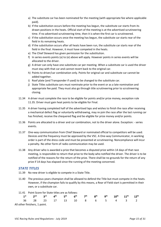- a) The substitute car has been nominated for the meeting (with appropriate fee where applicable paid).
- b) If the substitution occurs before the meeting has begun, the substitute car starts from its drawn positions in the heats. Official start of the meeting is at the advertised scrutineering time. If no advertised scrutineering time, then it is when the first car is scrutineered.
- c) If the substitution occurs once the meeting has begun, the substitute car starts rear of the field in its remaining heats.
- d) If the substitution occurs after all heats have been run, the substitute car starts rear of the field in the final. However, it must have competed in the heats.
- e) The Chief Steward has given permission for the substitution.
- f) In series events points (a) to (e) above will apply. However points in series events will be allocated to the driver.
- g) A driver can only have one substitute car per meeting. When a substitute car is used the driver must stay with that car and cannot revert back to the original car.
- h) Points to driver/car combination only. Points for original car and substitute car cannot be added together.
- i) Roof plate (and Transponder if used) to be changed to the substitute car.
- j) State Titles substitute cars must nominate prior to the event or as a late nomination and appropriate fee paid. They must also go through title scrutineering prior to scrutineering closing.
- 11.34 A driver must complete the race to be eligible for points and/or prize money, exception rule 11.35. Driver must gain heat points to be eligible for Final.
- 11.35 A driver having completed half of the advertised laps and wishes to finish the race after receiving a mechanical defect flag or voluntarily withdrawing, may re-join the race after the last running car has finished, receive the chequered flag and be eligible for prize money and/or points.
- 11.36 Points are allocated to a driver and car combination, not to the driver alone. Exception: series events.
- 11.37 One-way communication from Chief Steward or nominated official to competitors will be used. Devices and the frequency must be approved by the VSC. A One-way Communicator, in working order is part of the dress code and must be presented at scrutineering. Noncompliance will incur a penalty. No other form of radio communication may be used.
- 11.38 Any driver who is awarded a prize that becomes a disputed prize within 14 days of that race meeting, is responsible to return that prize to the body who notified the driver. The driver is to be notified of the reasons for the return of the prize. There shall be no grounds for the return of any prize if 14 days has elapsed since the running of the meeting concerned.

### *STATE TITLES*

- 11.39 No new driver is eligible to compete in a State Title.
- 11.40 The previous years champion shall be allowed to defend the Title but must compete in the heats. However, if the champion fails to qualify by this means, a Rear of Field start is permitted in their own, or a substitute car.
- 11.41 Point Score for State titles are as follows:

|                               |  |  |  |  | $1^{st}$ 2nd 3rd 4 <sup>th</sup> 5 <sup>th</sup> 6 <sup>th</sup> 7 <sup>th</sup> 8 <sup>th</sup> 9 <sup>th</sup> 10 <sup>th</sup> 11 <sup>th</sup> 12 <sup>th</sup> |  |
|-------------------------------|--|--|--|--|---------------------------------------------------------------------------------------------------------------------------------------------------------------------|--|
|                               |  |  |  |  | 36 28 23 17 13 10 8 6 5 4 3 2                                                                                                                                       |  |
| All other finishers, 1 point. |  |  |  |  |                                                                                                                                                                     |  |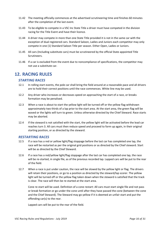- 11.42 The meeting officially commences at the advertised scrutineering time and finishes 60 minutes after the completion of the last event.
- 11.43 To be eligible to compete in a VSC Inc State Title a driver must have competed in the division racing for the Title Event and have their licence.
- 11.44 A driver may compete in more than one State Title provided it is not in the same car with the exception of dual registered cars. Standard Saloon, Ladies and Juniors each competitor may only compete in one (1) Standard Saloon Title per season. Either Open, Ladies or Juniors.
- 11.45 All cars (Including substitute cars) must be scrutineered by the official State appointed Title Scrutineers.
- 11.46 If a car is excluded from the event due to noncompliance of specifications, the competitor may not use a substitute car.

# **12. RACING RULES**

### *STARTING RACES*

- 12.1 In rolling start events, the pole car shall bring the field around at a reasonable pace and all drivers are to hold their correct positions until the race commences. White line may be used.
- 12.2 Any driver who increases or decreases speed on approaching the start of a race, or breaks formation may be penalised.
- 12.3 When a race is about to start the yellow light will be turned off or the yellow flag withdrawn approximately two thirds of a lap prior to the start area. At the start area, the green flag will be waved or the lights will turn to green. Unless otherwise directed by the Chief Steward. Race starts may be aborted.
- 12.4 If the steward is not satisfied with the start, the yellow light will be activated before the lead car reaches turn 3. All cars must then reduce speed and proceed to form up again, in their original starting position, or as directed by the steward.

### *RESTARTING RACES*

- 12.5 If a race has a red or yellow light/flag stoppage before the last car has completed one lap, the race will be restarted as per the original grid positions or as directed by the Chief steward. Start will be as directed by the Chief Steward.
- 12.6 If a race has a red/yellow light/flag stoppage after the last car has completed one lap, the race will be re-started, in single file, as of the previous recorded lap. Lapped cars will be put to the rear of the field.
- 12.7 When a race is put under caution, the race will be slowed by the yellow light or flag. The drivers will retain their positions, or go to a position as directed by the steward/lap scorer. The yellow light will be turned off or the yellow flag taken down when the steward is satisfied that the track is clear. The race will then be re-started at the start area.

Cone re-start will be used. Definition of a cone restart: All cars must start single file and not pass or break formation or go under the cone until after they have passed the cone (between the cone and the Chief Steward). The Steward may go yellow if it is deemed an unfair start and put the offending car(s) to the rear.

Lapped cars will be put to the rear of the field.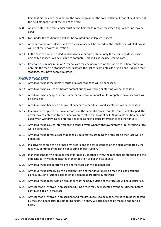Cars that hit the cone, pass before the cone or go under the cone will be put rear of field either at the next stoppage, or at the end of the race.

- 12.8 At any re-start, the race leader must be the first car to receive the green flag. White line may be used.
- 12.9 Laps under the caution flag will not be counted on the lap score sheets.
- 12.10 Any car that has an outside flat tyre during a race will be placed on the infield, if inside flat tyre it will be at the stewards discretion.
- 12.11 In the case of a re-scheduled final held at a later date or time, only those cars and drivers who originally qualified, will be eligible to compete. This will also include reserve cars.
- 12.12 Reserve Cars: A maximum of 2 reserve cars may be permitted on the infield for a final, and may only join the race if a stoppage occurs before the last car completes its first lap and if during that stoppage, cars have been eliminated.

### *RACING INCIDENTS*

- 12.13 Any driver who is the primary cause of a race stoppage will be penalised.
- 12.14 Any driver who causes deliberate contact during overtaking or starting will be penalised
- 12.15 Any driver who engages in foul, unfair or dangerous conduct while competing on a race track will be penalised.
- 12.16 Any driver who becomes a source of danger to other drivers and spectators will be penalised.
- 12.17 If a driver is to spin of their own accord and the car is still mobile and the race is not stopped, the driver may re-enter the track as near as practical to the point of exit. All possible caution must be used when withdrawing or entering a race so as not to cause interference to other drivers.
- 12.18 Any driver who causes interference to other drivers when withdrawing from or re-entering a race will be penalised.
- 12.19 Any driver who forces a race stoppage by deliberately stopping the race car on the track will be penalised.
- 12.20 If a driver is to spin of his or her own accord and the car is stopped on the edge of the track, the race may continue if the car is not causing an obstruction.
- 12.21 If an innocent party is spun or disadvantaged by another driver, the race shall be stopped and the innocent party will be reinstated in their position as per the lap sheets.
- 12.22 Any driver who deliberately spins another race car will be penalised.
- 12.23 Any driver who unfairly gains a position from another driver during a race will lose positions gained, plus one further position or as deemed appropriate by steward.
- 12.24 Any driver who races with an arm or part of the body outside of the race car will be disqualified.
- 12.25 Any car that is involved in an accident during a race may be inspected by the scrutineers before continuing again in that race.
- 12.26 Any car that is involved in an accident and requires repairs to be made, will need to be inspected by the scrutineers prior to competing again. An entry will also need to be made in the car log book.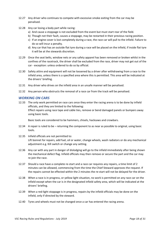- 12.27 Any driver who continues to compete with excessive smoke exiting from the car may be penalised.
- 12.28 Any car losing a body part while racing:
	- a) And cause a stoppage is not excluded from the event but must start rear of the field.
	- b) Though not their fault, causes a stoppage, may be restarted in their previous racing position.
	- c) If an engine cover is lost completely during a race, the race car will pull to the infield. Failure to do so will incur a penalty.
	- d) Any car that has an outside flat tyre during a race will be placed on the infield, if inside flat tyre it will be at the stewards discretion.
- 12.29 Once the seat belts, window nets or any safety apparel has been removed or broken whilst in the confines of the racetrack, the driver shall be excluded from the race, driver may not get out of the car - exception: unless ordered to do so by official.
- 12.30 Safety attire and equipment will not be loosened by a driver after withdrawing from a race to the infield area, unless there is a specified area where this is permitted. This area will be indicated at the drivers' briefing.
- 12.31 Any driver who drives on the infield area in an unsafe manner will be penalised.
- 12.32 Any person who obstructs the removal of a race car from the track will be penalised.

### *WORKING ON CARS*

12.33 The only work permitted on race cars once they enter the racing arena is to be done by infield officials, and they are limited to the following: Effect repairs using race tape and cable ties, remove or bend damaged panels or bumpers away using basic tools.

Basic tools are considered to be hammers, chisels, hacksaws and crowbars.

- 12.34 A repair is ruled to be returning the component to as near as possible to original, using basic tools.
- 12.35 Infield officials are not permitted to: Lift bonnet for repairs, add fuel, oil or water, change wheels, wash radiators or do any mechanical adjustment e.g. Kill switch or change any setting.
- 12.36 Any car with any part in danger of dislodging will go to the infield immediately after being shown the mechanical defect flag. Infield officials may then remove or secure the part and the car may re-join the race.
- 12.37 Should a race have a complete re-start and a race car requires any repairs, a time limit of 2 minutes can be allowed, commencing from the time the Chief Steward approves the request. If the repairs cannot be effected within the 2 minutes the re-start will not be delayed for the driver.
- 12.38 When a race is in progress, or yellow light situation, no work is permitted on any race car on the infield except when the car is in the designated infield safety area, which will be indicated at the drivers' briefing.
- 12.39 When a red-light stoppage is in progress, repairs by the infield officials may be done on the infield, only if directed by the steward.
- 12.40 Tyres and wheels must not be changed once a car has entered the racing arena.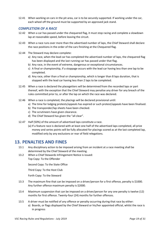12.41 When working on cars in the pit area, car is to be securely supported. If working under the car, each wheel off the ground must be supported by an approved jack stand.

### *COMPLETION OF A RACE*

- 12.42 When a car has passed under the chequered flag, it must stop racing and complete a slowdown lap at reasonable speed, before leaving the circuit.
- 12.43 When a race runs over more than the advertised number of laps, the Chief Steward shall declare the race positions in the order of the cars finishing at the Chequered flag.
- 12.44 The Steward may declare complete:
	- a) Any race, when the lead car has completed the advertised number of laps, the chequered flag has been displayed and the last running car has passed under that flag.
	- b) Any race, in the event of extreme, dangerous or exceptional circumstances.
	- c) A final or championship, if a stoppage occurs with the lead car having less than one lap to be completed.
	- d) Any race, other than a final or championship, which is longer than 8 laps duration, that is stopped with the lead car having less than 2 laps to be completed.
- 12.45 When a race is declared the placegetters will be determined from the recorded laps or part thereof, with the exception that the Chief Steward may penalise any driver for any breach of the rules committed prior to, or after the lap on which the race was declared.
- 12.46 When a race is completed, the placings will be declared provisional until:
	- a) The time for lodging protests/appeals has expired or such protest/appeals have been finalised.
	- b) The transponder/lap sheets have been checked.
	- c) The scrutineers have given clearance.
	- d) The Chief Steward has given the "all clear".
- 12.47 Half (50%) of the amount of advertised laps constitute a race.
	- (a) If a feature race is declared with at least one half of the advertised laps completed, all prize money and series points will be fully allocated for placings scored as at the last completed lap, modified only by any exclusions or rear of field relegations.

### **13. PENALTIES AND FINES**

- 13.1 Any disciplinary action to be imposed arising from an incident at a race meeting shall be determined by the Chief Steward of the meeting.
- 13.2 When a Chief Stewards Infringement Notice is issued: Top Copy: To the Offender

Second Copy: To the State Office

Third Copy: To the Host Club

Forth Copy: To the Steward

- 13.3 The maximum fine that can be imposed on a driver/person for a first offence, penalty is \$1000. Any further offence maximum penalty is \$2000.
- 13.4 Maximum suspension that can be imposed on a driver/person for any one penalty is twelve (12) months for first offence. Twenty-four (24) months for further offences.
- 13.5 A driver must be notified of any offence or penalty occurring during that race by either:
	- a) Boards, or flags displayed by the Chief Steward or his/her appointed official, whilst the race is in progress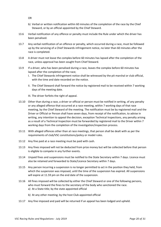OR

- b) Verbal or written notification within 60 minutes of the completion of the race by the Chief Steward, or by an official appointed by the Chief Steward.
- 13.6 Verbal notification of any offence or penalty must include the Rule under which the driver has been penalised.
- 13.7 Any verbal notification of an offence or penalty, which occurred during a race, must be followed up by the servicing of a Chief Stewards infringement notice, no later than 60 minutes after the race is completed.
- 13.8 A driver must not leave the complex before 60 minutes has lapsed after the completion of the race, unless approval has been sought from Chief Steward.
- 13.9 If a driver, who has been penalised during a race, leaves the complex before 60 minutes has lapsed after the completion of the race;
	- I. The Chief Stewards infringement notice shall be witnessed by the pit marshal or club official, with the time and date recorded on the notice.
	- II. The Chief Steward shall forward the notice by registered mail to be received within 7 working days of the meeting date.
	- III. The driver forfeits the right of appeal.
- 13.10 Other than during a race, a driver or official or person must be notified in writing, of any penalty or any alleged offence that occurred at a race meeting, within 7 working days of that race meeting, by the Chief Steward of the meeting. The notification must be by registered mail and the Driver or Official or Person shall have seven days, from receipt of the notification, to advise in writing, any intention to appeal the decision, exception Technical Inspections, any penalty arising as a result of a Technical Inspection must be forwarded by registered mail to the Driver within 7 working days from the completion of the investigation/inspection process.
- 13.11 With alleged offences other than at race meetings, that person shall be dealt with as per the requirements of club/VSC constitutions/policy or model rules.
- 13.12 Any fine paid at a race meeting must be paid with cash.
- 13.13 Any fines imposed will not be deducted from prize money but will be collected before that person is eligible to compete in any further events.
- 13.14 Unpaid fines and suspensions must be notified to the State Secretary within 7 days. Licence must also be retained and forwarded to State/Licence Secretary within 7 days.
- 13.15 Any person incurring a suspension is no longer permitted to act in the position they held, from which the suspension was imposed, until the time of the suspension has expired. All suspensions will expire at 11.59 pm on the end date of the suspension.
- 13.16 All fines imposed will be collected by either the Chief Steward or one of the following persons, who must forward the fines to the secretary of the body who sanctioned the race. a) At a State title; by the state appointed official
	- b) At any other meeting; by the host Club appointed official
- 13.17 Any fine imposed and paid will be returned if an appeal has been lodged and upheld.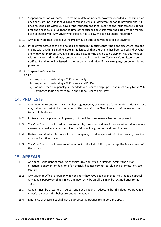- 13.18 Suspension period will commence from the date of incident, however recorded suspension time does not start until fine is paid. Drivers will be given a 30-day grace period to pay their fine. All fines must be paid within 30 days of the infringement. If not received the infringement extends until the fine is paid in full then the time of the suspension starts from the date of when monies have been received. Any Driver who chooses not to pay, will be suspended indefinitely.
- 13.19 Any paperwork that is filled out incorrectly by an official may be rectified at anytime.
- 13.20 If the driver agrees to the engine being checked but requests that it be done elsewhere, seal the engine with anything suitable, note in the log book that the engine has been sealed and by what and with what method. Arrange a time and place for the engine to be dismantled, this must be within 14 days and the driver, scrutineer must be in attendance. Technical Committee to be notified. Penalties will be issued to the car owner and driver if the car/engine/component is not presented.
- 13.21 Suspension Categories
	- 13.21.1
		- a) Suspended from holding a VSC Licence only.
		- b) Suspended from holding a VSC Licence and Pit Pass.
		- c) For more then one penalty, suspended from licence and pit pass, and must apply to the VSC Committee to be approved to re-apply for a Licence or Pit Pass.

### **14. PROTESTS**

- 14.1 Any Driver who considers they have been aggrieved by the actions of another driver during a race may lodge a protest at the completion of the race with the Chief Steward, before leaving the track or infield area.
- 14.2 Protests must be presented in person, but the driver's representative may be present.
- 14.3 The Chief Steward will consider the case put by the driver and may interview other drivers where necessary, to arrive at a decision. That decision will be given to the drivers involved.
- 14.4 No fee is required nor is there a form to complete, to lodge a protest with the steward, over the actions of another driver.
- 14.5 The Chief Steward will serve an infringement notice if disciplinary action applies from a result of the protest.

# **15. APPEALS**

- 15.1 An appeal is the right of recourse of every Driver or Official or Person, against the action, direction, judgement or decision of an official, disputes committee, club and promoter or State council.
- 15.2 Any Driver or Official or person who considers they have been aggrieved, may lodge an appeal. Any appeal paperwork that is filled out incorrectly by an official may be rectified prior to the appeal.
- 15.3 Appeals must be presented in person and not through an advocate, but this does not prevent a driver's representative being present at the appeal.
- 15.4 Ignorance of these rules shall not be accepted as grounds to support an appeal.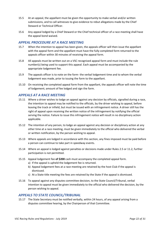- 15.5 At an appeal, the appellant must be given the opportunity to make verbal and/or written submissions, and to call witnesses to give evidence to rebut allegations made by the Chief Steward or Technical Officer.
- 15.6 Any appeal lodged by a Chief Steward or the Chief technical officer of a race meeting shall have the appeal bond waived.

### *APPEAL PROCEDURE AT A RACE MEETING*

- 15.7 When the intention to appeal has been given, the appeals officer will then issue the appellant with the appeal form and the appellant must have the fully completed form returned to the appeals officer within 30 minutes of receiving the appeal form.
- 15.8 All appeals must be written out on a VSC recognised appeal form and must include the rule number(s) being used to support this appeal. Each appeal must be accompanied by the appropriate lodgement fee.
- 15.9 The appeals officer is to note on the form- the verbal lodgement time and to whom the verbal lodgement was made, prior to issuing the form to the appellant.
- 15.10 On receiving the completed appeal form from the appellant, the appeals officer will note the time of lodgement; amount of fee lodged and sign the form.

### *APPEALS AT A RACE MEETING*

- 15.11 Where a driver wishes to lodge an appeal against any decision by officials, signalled during a race, the intention to appeal may be notified to the officials, by the driver wishing to appeal, before leaving the track or infield, but must be issued with an infringement notice. A driver still has the right of appeal upon receiving the written notice of the infringement by notifying the official serving the notice. Failure to issue this infringement notice will result in no disciplinary action applicable.
- 15.12 The intention of any person, to lodge an appeal against any decision or disciplinary action at any other time at a race meeting, must be given immediately to the official who delivered the verbal or written notification, by the person wishing to appeal.
- 15.13 Where appeals are lodged in accordance with this section, any fines imposed must be paid before a person can continue to take part in speedway events.
- 15.14 Where an appeal is lodged against penalties or decisions made under Rules 2.5 or 11.2, further participation is not permitted.
- 15.15 Appeal lodgement fee **of \$200** cash must accompany the completed appeal form.
	- a) If the appeal is upheld the lodgement fee is returned.
	- b) Appeal lodgement fees at a race meeting are retained by the host Club if the appeal is dismissed.
	- c) At a State title meeting the fees are retained by the State if the appeal is dismissed.
- 15.16 To appeal against any disputes committee decision, to the State Council/Tribunal, verbal intention to appeal must be given immediately to the official who delivered the decision, by the person wishing to appeal.

### *APPEALS TO STATE COUNCIL/TRIBUNAL*

15.17 The State Secretary must be notified verbally, within 24 hours, of any appeal arising from a disputes committee hearing, by the Chairperson of that Committee.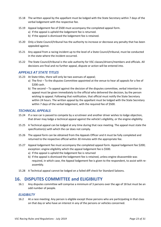- 15.18 The written appeal by the appellant must be lodged with the State Secretary within 7 days of the verbal lodgement with the respective fee.
- 15.19 Appeal lodgement fee of \$500 must accompany the completed appeal form.
	- a) If the appeal is upheld the lodgement fee is returned.
	- b) If the appeal is dismissed the lodgement fee is retained.
- 15.20 Only a State Council/tribunal has the authority to increase or decrease any penalty that has been appealed against.
- 15.21 Any appeal from a racing incident up to the level of a State Council/tribunal, must be conducted in the state where the incident occurred.
- 15.22 The State Council/tribunal is the sole authority for VSC classes/drivers/members and officials. All decisions are final and no further appeal, dispute or action will be entered into.

### *APPEALS AT STATE TITLES*

- 15.23 At State titles, there will only be two avenues of appeal;
	- a) The first To the disputes Committee appointed at the venue to hear all appeals for a fee of \$200 cash.
	- b) The second To appeal against the decision of the disputes committee, verbal intention to appeal must be given immediately to the official who delivered the decision, by the person wishing to appeal. Following that notification, that official must notify the State Secretary within 24 hours. The written appeal by the appellant must be lodged with the State Secretary within 7 days of the verbal lodgement, with the required fee of \$500.

### *TECHNICAL APPEALS*

- 15.24 If a race car is passed to compete by a scrutineer and another driver wishes to lodge objection, that driver may lodge a technical appeal against the vehicle's eligibility, or the engine eligibility.
- 15.25 A Technical appeal can be lodged at any time during that race meeting. The appeal must state the specification(s) with which the car does not comply.
- 15.26 The appeal form can be obtained from the Appeals Officer and it must be fully completed and returned to the respective official within 30 minutes with the appropriate fee.
- 15.27 Appeal lodgement fee must accompany the completed appeal form. Appeal lodgement fee \$200; exception: engine eligibility which the appeal lodgement fee is \$500.
	- a) If the appeal is upheld the lodgement fee is returned
	- b) If the appeal is dismissed the lodgement fee is retained, unless engine disassemble was required, in which case, the Appeal lodgement fee is given to the respondent, to assist with reassembly.
- 15.28 A Technical appeal cannot be lodged on a failed diff check for Standard Saloons.

# **16. DISPUTES COMMITTEE and ELIGIBILITY**

16.1 Any disputes committee will comprise a minimum of 3 persons over the age of 18 but must be an odd number of people.

### *ELIGIBILTY*

16.2 At a race meeting: Any person is eligible except those persons who are participating in that class on that day or who have an interest in any of the persons or vehicles concerned.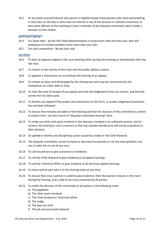16.3 At any State council/tribunal: Any person is eligible except those persons who were participating in that class on the day or who have an interest in any of the persons or vehicles concerned, or who were officials of the meeting or were a member of the disputes committee which made a decision on this matter.

### *APPOINTMENT*

- 16.4 For State titles by the VSC State Representative in conjunction with the host club, who will endeavour to include members from more than one club.
- 16.5 For club competition By the host club.

### *DUTIES*

- 16.6 To hear all appeals lodged at the race meeting either during the meeting or immediately after the last race.
- 16.7 To remain in the vicinity of the track and the public address system.
- 16.8 To appoint a chairperson to co-ordinate the hearing of an appeal.
- 16.9 To remain on duty until discharged by the chairperson and may be reconvened by the chairperson at a later date or time.
- 16.10 To note the time of receipt of any appeal and that the lodgement times are correct, and that the correct fee has been paid.
- 16.11 To dismiss any appeal if the proper documentation on the form, or proper lodgement procedure has not been followed.
- 16.12 To ensure that minutes are taken of the hearing and that the decision of the committee is written in motion form. Use the record of "disputes committee hearing" form.
- 16.13 To make sure that each party involved in the hearing is treated in an unbiased manner, and to conduct the hearing in such a manner so that any outside interference will not be prejudicial to their decision.
- 16.14 To uphold or dismiss any disciplinary action issued by a body or the Chief Steward.
- 16.15 The disputes committee cannot increase or decrease any penalty or set any new penalties, nor can it order the re-run of any race.
- 16.16 To call any person to give assistance or evidence.
- 16.17 To call the Chief Steward to give evidence at all appeal hearings.
- 16.18 To call the Technical officer to give evidence at all technical appeal hearings.
- 16.19 To have control over who is in the hearing room at any time.
- 16.20 To ensure that once a person is called to give evidence, then that person remains in the room during the hearing, and is able to be cross examined by all parties.
- 16.21 To notify the decision of the committee to all parties in the following order:
	- a) The appellant
	- b) The other party involved
	- c) The Chief steward or Technical officer
	- d) The Judge
	- e) The pay-out clerk
	- f) The pit announcer/pit steward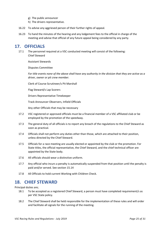- g) The public announcer
- h) The drivers representative.
- 16.22 To advise any aggrieved person of their further rights of appeal.
- 16.23 To hand the minutes of the hearing and any lodgement fees to the official in charge of the meeting and advise that official of any future appeal being considered by any party.

# **17. OFFICIALS**

17.1 The personnel required at a VSC conducted meeting will consist of the following: Chief Steward

Assistant Stewards

Disputes Committee

*For title events none of the above shall have any authority in the division that they are active as a driver, owner or pit crew member.*

Clerk of Course Scrutineer/s Pit Marshall

Flag Steward/s Lap Scorers

Drivers Representative Timekeeper

Track Announcer Observers, Infield Officials

Any other Officials that may be necessary

- 17.2 VSC registered or approved officials must be a financial member of a VSC affiliated club or be employed by the promotion of the speedway.
- 17.3 The general duty of all officials is to report any breach of the regulations to the Chief Steward as soon as practical.
- 17.4 Officials shall not perform any duties other than those, which are attached to their position, unless directed by the Chief Steward.
- 17.5 Officials for a race meeting are usually elected or appointed by the club or the promotion. For State titles, the official representative, the Chief Steward, and the chief technical officer are appointed by the State body.
- 17.6 All officials should wear a distinctive uniform.
- 17.7 Any official who incurs a penalty is automatically suspended from that position until the penalty is paid and/or served. See section 15.14
- 17.8 All Officials to hold current Working with Children Check.

# **18. CHIEF STEWARD**

Principal duties are;

- 18.1 To be accepted as a registered Chief Steward, a person must have completed requirement/s as per VSC State policy.
- 18.2 The Chief Steward shall be held responsible for the implementation of these rules and will order and facilitate all signals for the running of the meeting.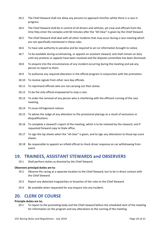- 18.3 The Chief Steward shall not allow any persons to approach him/her whilst there is a race in progress.
- 18.4 The Chief Steward shall be in control of all drivers and vehicles, pit crew and officials from the time they enter the complex until 60 minutes after the "All Clear" is given by the Chief Steward.
- 18.5 The Chief Steward shall deal with all other incidents that may occur during a race meeting which are not specifically mentioned in these rules.
- 18.6 To have sole authority to penalise and be required to act on information brought to notice.
- 18.7 To be available during scrutineering, or appoint an assistant steward, and shall remain on duty until any protests or appeals have been resolved and the disputes committee has been dismissed.
- 18.8 To enquire into the circumstances of any incident occurring during the meeting and ask any person to report to them.
- 18.9 To authorise any required alteration in the official program in conjunction with the promotion.
- 18.10 To receive signals from other race day officials.
- 18.11 To reprimand officials who are not carrying out their duties.
- 18.12 To be the only official empowered to stop a race.
- 18.13 To order the removal of any person who is interfering with the efficient running of the race meeting.
- 18.14 To issue infringement notices.
- 18.15 To advise the Judge of any alteration to the provisional placings as a result of exclusions or disqualifications.
- 18.16 To complete a steward's report of the meeting, which is to be retained by the steward, and if requested forward copy to State office.
- 18.17 To sign the lap sheets when the "all clear" is given, and to sign any alterations to those lap score sheets.
- 18.18 Be responsible to appoint an infield official to check driver response on car withdrawing from event.

# **19. TRAINEES, ASSISTANT STEWARDS and OBSERVERS**

19.1 Shall perform duties as directed by the Chief Steward.

#### **Observers principal duties are to**:

- 19.2 Observe the racing at a separate location to the Chief Steward, but to be in direct contact with the Chief Steward.
- 19.3 Report any detected irregularities or breaches of the rules to the Chief Steward.
- 19.4 Be available when requested for any enquiry into any incident.

# **20. CLERK OF COURSE**

#### **Principle duties are to;**

20.1 To report to the promoting body and the Chief steward before the scheduled start of the meeting for information on the program and any alterations to the running of the meeting.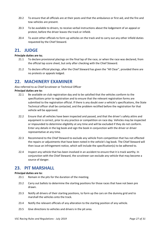- 20.2 To ensure that all officials are at their posts and that the ambulance or first aid, and the fire and tow vehicles are present.
- 20.3 To be available to drivers, to receive verbal instructions about the lodgement of an appeal or protest, before the driver leaves the track or infield.
- 20.4 To assist other officials to form up vehicles on the track and to carry out any other infield duties requested by the Chief Steward.

### **21. JUDGE**

### **Principle duties are to;**

- 21.1 To declare provisional placings on the final lap of the race, or when the race was declared, from the official lap score sheet, but only after checking with the Chief Steward.
- 21.2 To declare official placings, after the Chief Steward has given the "All Clear", provided there are no protests or appeals lodged.

# **22. MACHINERY EXAMINER**

Also referred to as Chief Scrutineer or Technical Officer

### **Principal duties are to:**

- 22.1 Be available on club registration day and to be satisfied that the vehicles conform to the specifications prior to registration and to ensure that the relevant registration forms are submitted to the registration official. If there is any doubt over a vehicle's specifications, the State Technical officer shall be contacted, and the problem rectified before the registration for that vehicle will be approved.
- 22.2 Ensure that all vehicles have been inspected and passed, and that the driver's safety attire and equipment is correct, prior to any practice or competition on race day. Vehicles may be inspected or impounded to determine eligibility at any time and will be excluded if they do not conform. Enter any details in the log book and sign the book in conjunction with the driver or driver representative at any time.
- 22.3 Recommend to the Chief Steward to exclude any vehicle from competition that has not effected the repairs or adjustments that have been noted in the vehicle's log book. The Chief Steward will then issue an infringement notice, which will include the specification(s) to be adhered to.
- 22.4 Inspect any vehicle that has been involved in an accident to ensure that it is track worthy. In conjunction with the Chief Steward, the scrutineer can exclude any vehicle that may become a source of danger.

# **23. PIT MARSHALL**

#### **Principal duties are to:**

- 23.1 Remain in the pits for the duration of the meeting.
- 23.2 Carry out ballots to determine the starting positions for those races that have not been pre drawn.
- 23.3 Notify all drivers of their starting positions, to form up the cars on the dummy grid and to marshall the vehicles onto the track.
- 23.4 Notify the relevant officials of any alteration to the starting position of any vehicle.
- 23.5 Give directions to vehicles and drivers in the pit area.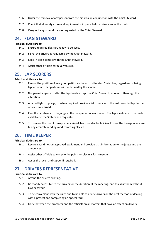- 23.6 Order the removal of any person from the pit area, in conjunction with the Chief Steward.
- 23.7 Check that all safety attire and equipment is in place before drivers enter the track.
- 23.8 Carry out any other duties as requested by the Chief Steward.

# **24. FLAG STEWARD**

#### **Principal duties are to:**

- 24.1 Ensure required flags are ready to be used.
- 24.2 Signal the drivers as requested by the Chief Steward.
- 24.3 Keep in close contact with the Chief Steward.
- 24.4 Assist other officials form up vehicles.

# **25. LAP SCORERS**

#### **Principal duties are to:**

- 25.1 Record the position of every competitor as they cross the start/finish line, regardless of being lapped or not. Lapped cars will be defined by the scorers.
- 25.2 Not permit anyone to alter the lap sheets except the Chief Steward, who must then sign the alteration.
- 25.3 At a red light stoppage, or when required provide a list of cars as of the last recorded lap, to the officials concerned.
- 25.4 Pass the lap sheets to the judge at the completion of each event. The lap sheets are to be made available to the State when requested.
- 25.5 To oversee the use of transponders. Assist Transponder Technician. Ensure the transponders are taking accurate readings and recording all cars.

# **26. TIME KEEPER**

#### **Principal duties are to:**

- 26.1 Record race times on approved equipment and provide that information to the judge and the announcer.
- 26.2 Assist other officials to compile the points or placings for a meeting.
- 26.3 Act as the race handicapper if required.

# **27. DRIVERS REPRESENTATIVE**

#### **Principal duties are to:**

- 27.1 Attend the drivers briefing.
- 27.2 Be readily accessible to the drivers for the duration of the meeting, and to assist them without bias or favour.
- 27.3 To be conversant with the rules and to be able to advise drivers on the best method of dealing with a protest and completing an appeal form.
- 27.4 Liaise between the promoter and the officials on all matters that have an effect on drivers.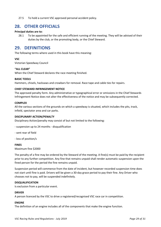27.5 To hold a current VSC approved personal accident policy.

# **28. OTHER OFFICIALS**

### **Principal duties are to:**

28.1 To be appointed for the safe and efficient running of the meeting. They will be advised of their duties by the club, or the promoting body, or the Chief Steward.

# **29. DEFINITIONS**

The following terms where used in this book have this meaning:

### **VSC**

Victorian Speedway Council

### **"ALL CLEAR"**

When the Chief Steward declares the race meeting finished.

### **BASIC TOOLS**

Hammers, chisels, hacksaws and crowbars for removal. Race tape and cable ties for repairs.

### **CHIEF STEWARD INFRINGEMENT NOTICE**

The approved penalty form. Any administrative or typographical error or omissions in the Chief Stewards Infringement Notice does not alter the effectiveness of the notice and may be subsequently corrected.

#### **COMPLEX**

All the various sections of the grounds on which a speedway is situated, which includes the pits, track, infield, spectator area and car parks.

### **DISCIPLINARY ACTION/PENALTY**

Disciplinary Action/penalty may consist of but not limited to the following:

- suspension up to 24 months disqualification
- sent rear of field
- loss of position/s

#### **FINES**

Maximum fine \$2000

The penalty of a fine may be ordered by the Steward of the meeting. A fine(s) must be paid by the recipient prior to any further competition. Any fine that remains unpaid shall render automatic suspension upon the fined person for the period the fine remains unpaid.

Suspension period will commence from the date of incident, but however recorded suspension time does not start until fine is paid. Drivers will be given a 30-day grace period to pay their fine. Any Driver who chooses not to pay, will be suspended indefinitely.

#### **DISQUALIFICATION**

Is exclusion from a particular event.

#### **DRIVER**

A person licenced by the VSC to drive a registered/recognised VSC race car in competition.

### **ENGINE**

The definition of an engine includes all of the components that make the engine function.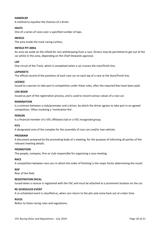### **HANDICAP**

A method to equalise the chances of a driver.

### **HEATS**

One of a series of races over a specified number of laps.

#### **INFIELD**

The area inside the track racing surface,

#### **INFIELD PIT AREA**

An area set aside on the infield for cars withdrawing from a race. Drivers may be permitted to get out of the car whilst in this area, depending on the Chief Stewards approval.

#### **LAP**

One circuit of the Track, which is completed when a car crosses the start/finish line.

#### **LAPSHEETS**

The official record of the positions of each race car on each lap of a race at the Start/Finish line.

#### **LICENCE**

Issued to a person to take part in competition under these rules, after the required fees have been paid.

#### **LOG BOOK**

Issued as part of the registration process, and is used to record various values of a race car.

#### **NOMINATION**

Is a contract between a club/promoter and a driver, by which the driver agrees to take part in an agreed competition. Often involving a 'nomination fee'.

#### **PERSON**

Is a financial member of a VSC affiliated club or a VSC recognised group.

#### **PITS**

A designated area of the complex for the assembly of race cars and/or tow vehicles

#### **PROGRAM**

A document prepared by the promoting body of a meeting, for the purpose of informing all parties of the relevant meeting details.

#### **PROMOTION**

The people, company, firm or club responsible for organising a race meeting.

#### **RACE**

A competition between race cars in which the order of finishing is the major factor determining the result.

#### **ROF**

Rear of the field.

### **REGISTRATION DECAL**

Issued when a racecar is registered with the VSC and must be attached to a prominent location on the car.

#### **RE-SCHEDULED EVENT**

A re-scheduled event is classified as, when cars return to the pits and come back out at a later time.

### **RULES**

Refers to these racing rules and regulations.